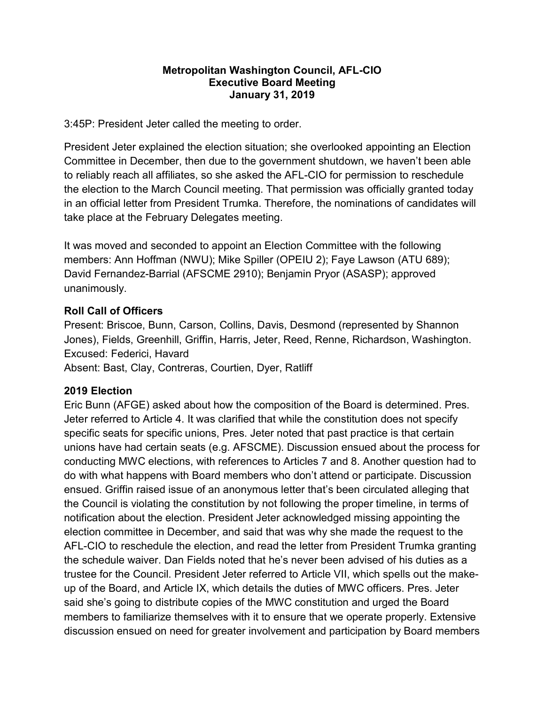### Metropolitan Washington Council, AFL-CIO Executive Board Meeting January 31, 2019

3:45P: President Jeter called the meeting to order.

President Jeter explained the election situation; she overlooked appointing an Election Committee in December, then due to the government shutdown, we haven't been able to reliably reach all affiliates, so she asked the AFL-CIO for permission to reschedule the election to the March Council meeting. That permission was officially granted today in an official letter from President Trumka. Therefore, the nominations of candidates will take place at the February Delegates meeting.

It was moved and seconded to appoint an Election Committee with the following members: Ann Hoffman (NWU); Mike Spiller (OPEIU 2); Faye Lawson (ATU 689); David Fernandez-Barrial (AFSCME 2910); Benjamin Pryor (ASASP); approved unanimously.

### Roll Call of Officers

Present: Briscoe, Bunn, Carson, Collins, Davis, Desmond (represented by Shannon Jones), Fields, Greenhill, Griffin, Harris, Jeter, Reed, Renne, Richardson, Washington. Excused: Federici, Havard

Absent: Bast, Clay, Contreras, Courtien, Dyer, Ratliff

### 2019 Election

Eric Bunn (AFGE) asked about how the composition of the Board is determined. Pres. Jeter referred to Article 4. It was clarified that while the constitution does not specify specific seats for specific unions, Pres. Jeter noted that past practice is that certain unions have had certain seats (e.g. AFSCME). Discussion ensued about the process for conducting MWC elections, with references to Articles 7 and 8. Another question had to do with what happens with Board members who don't attend or participate. Discussion ensued. Griffin raised issue of an anonymous letter that's been circulated alleging that the Council is violating the constitution by not following the proper timeline, in terms of notification about the election. President Jeter acknowledged missing appointing the election committee in December, and said that was why she made the request to the AFL-CIO to reschedule the election, and read the letter from President Trumka granting the schedule waiver. Dan Fields noted that he's never been advised of his duties as a trustee for the Council. President Jeter referred to Article VII, which spells out the makeup of the Board, and Article IX, which details the duties of MWC officers. Pres. Jeter said she's going to distribute copies of the MWC constitution and urged the Board members to familiarize themselves with it to ensure that we operate properly. Extensive discussion ensued on need for greater involvement and participation by Board members